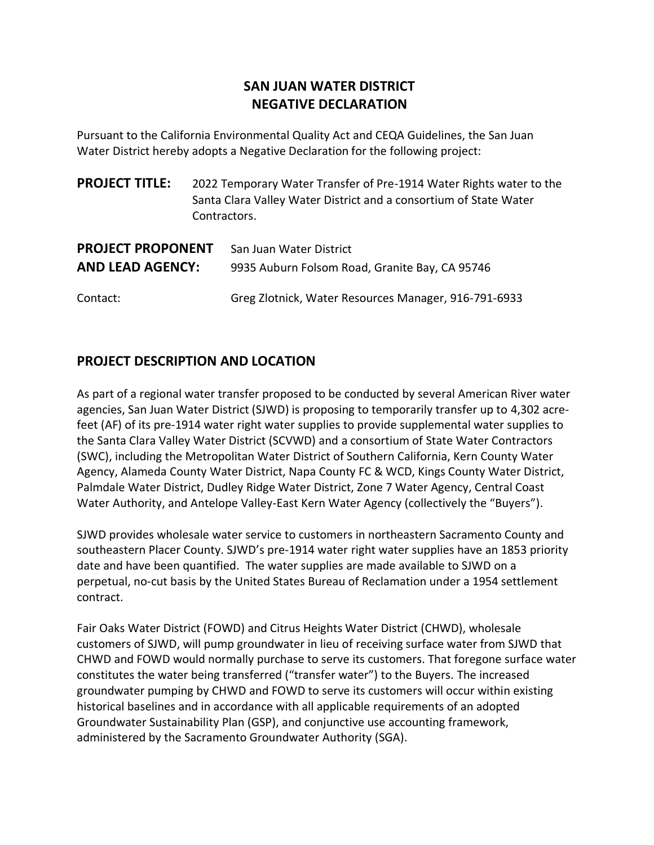# **SAN JUAN WATER DISTRICT NEGATIVE DECLARATION**

Pursuant to the California Environmental Quality Act and CEQA Guidelines, the San Juan Water District hereby adopts a Negative Declaration for the following project:

| <b>PROJECT TITLE:</b> | 2022 Temporary Water Transfer of Pre-1914 Water Rights water to the |  |
|-----------------------|---------------------------------------------------------------------|--|
|                       | Santa Clara Valley Water District and a consortium of State Water   |  |
|                       | Contractors.                                                        |  |
|                       |                                                                     |  |

| <b>PROJECT PROPONENT</b> | San Juan Water District                              |
|--------------------------|------------------------------------------------------|
| <b>AND LEAD AGENCY:</b>  | 9935 Auburn Folsom Road, Granite Bay, CA 95746       |
| Contact:                 | Greg Zlotnick, Water Resources Manager, 916-791-6933 |

## **PROJECT DESCRIPTION AND LOCATION**

As part of a regional water transfer proposed to be conducted by several American River water agencies, San Juan Water District (SJWD) is proposing to temporarily transfer up to 4,302 acrefeet (AF) of its pre-1914 water right water supplies to provide supplemental water supplies to the Santa Clara Valley Water District (SCVWD) and a consortium of State Water Contractors (SWC), including the Metropolitan Water District of Southern California, Kern County Water Agency, Alameda County Water District, Napa County FC & WCD, Kings County Water District, Palmdale Water District, Dudley Ridge Water District, Zone 7 Water Agency, Central Coast Water Authority, and Antelope Valley-East Kern Water Agency (collectively the "Buyers").

SJWD provides wholesale water service to customers in northeastern Sacramento County and southeastern Placer County. SJWD's pre-1914 water right water supplies have an 1853 priority date and have been quantified. The water supplies are made available to SJWD on a perpetual, no-cut basis by the United States Bureau of Reclamation under a 1954 settlement contract.

Fair Oaks Water District (FOWD) and Citrus Heights Water District (CHWD), wholesale customers of SJWD, will pump groundwater in lieu of receiving surface water from SJWD that CHWD and FOWD would normally purchase to serve its customers. That foregone surface water constitutes the water being transferred ("transfer water") to the Buyers. The increased groundwater pumping by CHWD and FOWD to serve its customers will occur within existing historical baselines and in accordance with all applicable requirements of an adopted Groundwater Sustainability Plan (GSP), and conjunctive use accounting framework, administered by the Sacramento Groundwater Authority (SGA).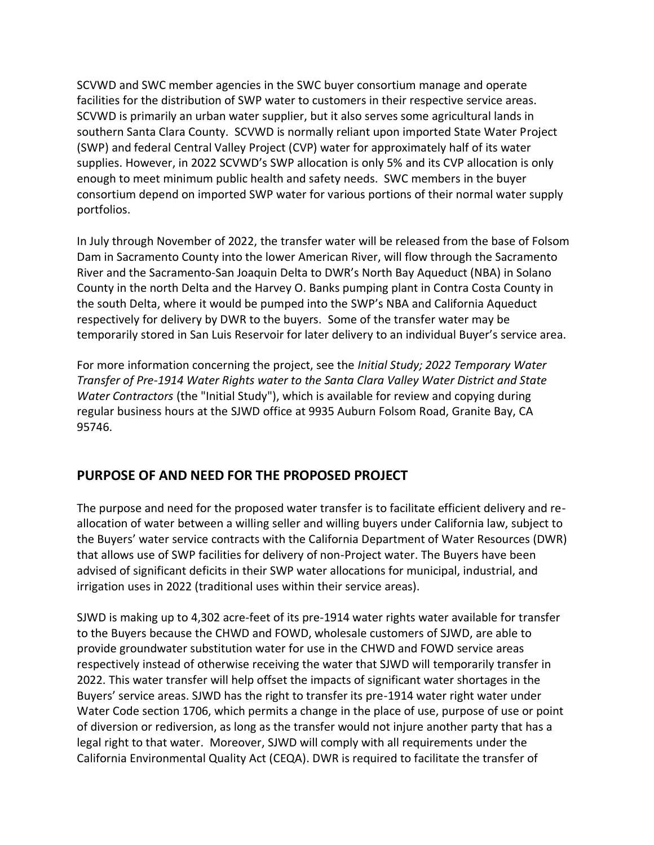SCVWD and SWC member agencies in the SWC buyer consortium manage and operate facilities for the distribution of SWP water to customers in their respective service areas. SCVWD is primarily an urban water supplier, but it also serves some agricultural lands in southern Santa Clara County. SCVWD is normally reliant upon imported State Water Project (SWP) and federal Central Valley Project (CVP) water for approximately half of its water supplies. However, in 2022 SCVWD's SWP allocation is only 5% and its CVP allocation is only enough to meet minimum public health and safety needs. SWC members in the buyer consortium depend on imported SWP water for various portions of their normal water supply portfolios.

In July through November of 2022, the transfer water will be released from the base of Folsom Dam in Sacramento County into the lower American River, will flow through the Sacramento River and the Sacramento-San Joaquin Delta to DWR's North Bay Aqueduct (NBA) in Solano County in the north Delta and the Harvey O. Banks pumping plant in Contra Costa County in the south Delta, where it would be pumped into the SWP's NBA and California Aqueduct respectively for delivery by DWR to the buyers. Some of the transfer water may be temporarily stored in San Luis Reservoir for later delivery to an individual Buyer's service area.

For more information concerning the project, see the *Initial Study; 2022 Temporary Water Transfer of Pre-1914 Water Rights water to the Santa Clara Valley Water District and State Water Contractors* (the "Initial Study"), which is available for review and copying during regular business hours at the SJWD office at 9935 Auburn Folsom Road, Granite Bay, CA 95746.

## **PURPOSE OF AND NEED FOR THE PROPOSED PROJECT**

The purpose and need for the proposed water transfer is to facilitate efficient delivery and reallocation of water between a willing seller and willing buyers under California law, subject to the Buyers' water service contracts with the California Department of Water Resources (DWR) that allows use of SWP facilities for delivery of non-Project water. The Buyers have been advised of significant deficits in their SWP water allocations for municipal, industrial, and irrigation uses in 2022 (traditional uses within their service areas).

SJWD is making up to 4,302 acre-feet of its pre-1914 water rights water available for transfer to the Buyers because the CHWD and FOWD, wholesale customers of SJWD, are able to provide groundwater substitution water for use in the CHWD and FOWD service areas respectively instead of otherwise receiving the water that SJWD will temporarily transfer in 2022. This water transfer will help offset the impacts of significant water shortages in the Buyers' service areas. SJWD has the right to transfer its pre-1914 water right water under Water Code section 1706, which permits a change in the place of use, purpose of use or point of diversion or rediversion, as long as the transfer would not injure another party that has a legal right to that water. Moreover, SJWD will comply with all requirements under the California Environmental Quality Act (CEQA). DWR is required to facilitate the transfer of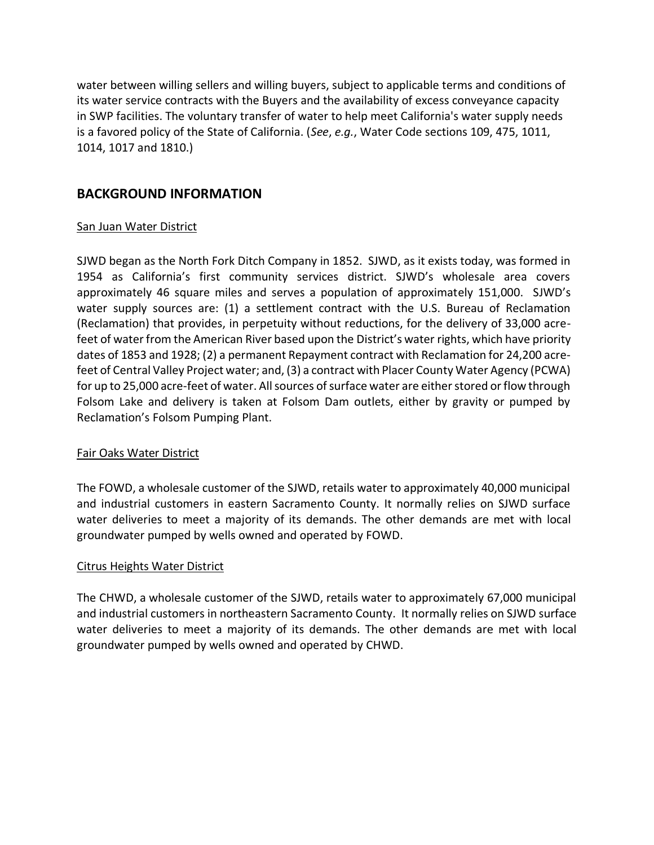water between willing sellers and willing buyers, subject to applicable terms and conditions of its water service contracts with the Buyers and the availability of excess conveyance capacity in SWP facilities. The voluntary transfer of water to help meet California's water supply needs is a favored policy of the State of California. (*See*, *e.g.*, Water Code sections 109, 475, 1011, 1014, 1017 and 1810.)

### **BACKGROUND INFORMATION**

#### San Juan Water District

SJWD began as the North Fork Ditch Company in 1852. SJWD, as it exists today, was formed in 1954 as California's first community services district. SJWD's wholesale area covers approximately 46 square miles and serves a population of approximately 151,000. SJWD's water supply sources are: (1) a settlement contract with the U.S. Bureau of Reclamation (Reclamation) that provides, in perpetuity without reductions, for the delivery of 33,000 acrefeet of water from the American River based upon the District's water rights, which have priority dates of 1853 and 1928; (2) a permanent Repayment contract with Reclamation for 24,200 acrefeet of Central Valley Project water; and, (3) a contract with Placer County Water Agency (PCWA) for up to 25,000 acre-feet of water. All sources of surface water are either stored or flow through Folsom Lake and delivery is taken at Folsom Dam outlets, either by gravity or pumped by Reclamation's Folsom Pumping Plant.

#### Fair Oaks Water District

The FOWD, a wholesale customer of the SJWD, retails water to approximately 40,000 municipal and industrial customers in eastern Sacramento County. It normally relies on SJWD surface water deliveries to meet a majority of its demands. The other demands are met with local groundwater pumped by wells owned and operated by FOWD.

#### Citrus Heights Water District

The CHWD, a wholesale customer of the SJWD, retails water to approximately 67,000 municipal and industrial customers in northeastern Sacramento County. It normally relies on SJWD surface water deliveries to meet a majority of its demands. The other demands are met with local groundwater pumped by wells owned and operated by CHWD.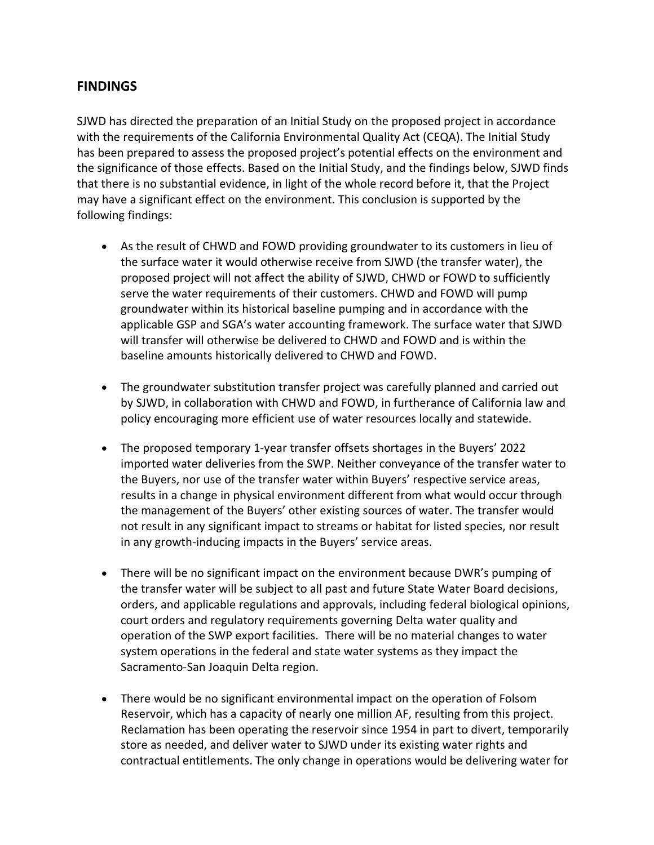### **FINDINGS**

SJWD has directed the preparation of an Initial Study on the proposed project in accordance with the requirements of the California Environmental Quality Act (CEQA). The Initial Study has been prepared to assess the proposed project's potential effects on the environment and the significance of those effects. Based on the Initial Study, and the findings below, SJWD finds that there is no substantial evidence, in light of the whole record before it, that the Project may have a significant effect on the environment. This conclusion is supported by the following findings:

- As the result of CHWD and FOWD providing groundwater to its customers in lieu of the surface water it would otherwise receive from SJWD (the transfer water), the proposed project will not affect the ability of SJWD, CHWD or FOWD to sufficiently serve the water requirements of their customers. CHWD and FOWD will pump groundwater within its historical baseline pumping and in accordance with the applicable GSP and SGA's water accounting framework. The surface water that SJWD will transfer will otherwise be delivered to CHWD and FOWD and is within the baseline amounts historically delivered to CHWD and FOWD.
- The groundwater substitution transfer project was carefully planned and carried out by SJWD, in collaboration with CHWD and FOWD, in furtherance of California law and policy encouraging more efficient use of water resources locally and statewide.
- The proposed temporary 1-year transfer offsets shortages in the Buyers' 2022 imported water deliveries from the SWP. Neither conveyance of the transfer water to the Buyers, nor use of the transfer water within Buyers' respective service areas, results in a change in physical environment different from what would occur through the management of the Buyers' other existing sources of water. The transfer would not result in any significant impact to streams or habitat for listed species, nor result in any growth-inducing impacts in the Buyers' service areas.
- There will be no significant impact on the environment because DWR's pumping of the transfer water will be subject to all past and future State Water Board decisions, orders, and applicable regulations and approvals, including federal biological opinions, court orders and regulatory requirements governing Delta water quality and operation of the SWP export facilities. There will be no material changes to water system operations in the federal and state water systems as they impact the Sacramento-San Joaquin Delta region.
- There would be no significant environmental impact on the operation of Folsom Reservoir, which has a capacity of nearly one million AF, resulting from this project. Reclamation has been operating the reservoir since 1954 in part to divert, temporarily store as needed, and deliver water to SJWD under its existing water rights and contractual entitlements. The only change in operations would be delivering water for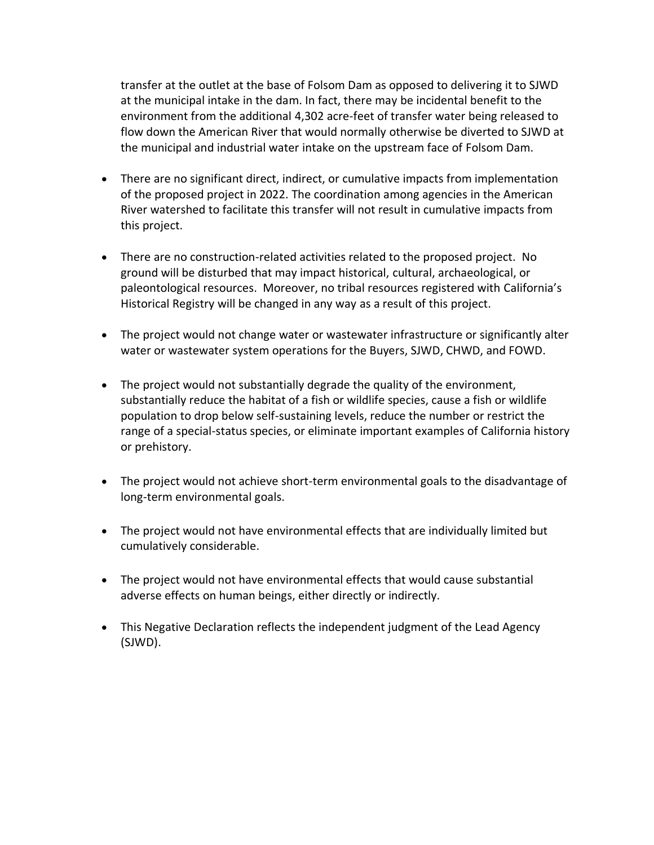transfer at the outlet at the base of Folsom Dam as opposed to delivering it to SJWD at the municipal intake in the dam. In fact, there may be incidental benefit to the environment from the additional 4,302 acre-feet of transfer water being released to flow down the American River that would normally otherwise be diverted to SJWD at the municipal and industrial water intake on the upstream face of Folsom Dam.

- There are no significant direct, indirect, or cumulative impacts from implementation of the proposed project in 2022. The coordination among agencies in the American River watershed to facilitate this transfer will not result in cumulative impacts from this project.
- There are no construction-related activities related to the proposed project. No ground will be disturbed that may impact historical, cultural, archaeological, or paleontological resources. Moreover, no tribal resources registered with California's Historical Registry will be changed in any way as a result of this project.
- The project would not change water or wastewater infrastructure or significantly alter water or wastewater system operations for the Buyers, SJWD, CHWD, and FOWD.
- The project would not substantially degrade the quality of the environment, substantially reduce the habitat of a fish or wildlife species, cause a fish or wildlife population to drop below self-sustaining levels, reduce the number or restrict the range of a special-status species, or eliminate important examples of California history or prehistory.
- The project would not achieve short-term environmental goals to the disadvantage of long-term environmental goals.
- The project would not have environmental effects that are individually limited but cumulatively considerable.
- The project would not have environmental effects that would cause substantial adverse effects on human beings, either directly or indirectly.
- This Negative Declaration reflects the independent judgment of the Lead Agency (SJWD).